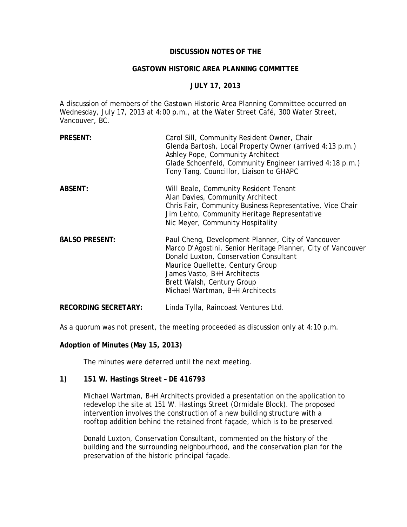## **DISCUSSION NOTES OF THE**

## **GASTOWN HISTORIC AREA PLANNING COMMITTEE**

# **JULY 17, 2013**

A discussion of members of the Gastown Historic Area Planning Committee occurred on Wednesday, July 17, 2013 at 4:00 p.m., at the Water Street Café, 300 Water Street, Vancouver, BC.

| <b>PRESENT:</b>             | Carol Sill, Community Resident Owner, Chair<br>Glenda Bartosh, Local Property Owner (arrived 4:13 p.m.)<br>Ashley Pope, Community Architect<br>Glade Schoenfeld, Community Engineer (arrived 4:18 p.m.)<br>Tony Tang, Councillor, Liaison to GHAPC                                               |
|-----------------------------|--------------------------------------------------------------------------------------------------------------------------------------------------------------------------------------------------------------------------------------------------------------------------------------------------|
| <b>ABSENT:</b>              | Will Beale, Community Resident Tenant<br>Alan Davies, Community Architect<br>Chris Fair, Community Business Representative, Vice Chair<br>Jim Lehto, Community Heritage Representative<br>Nic Meyer, Community Hospitality                                                                       |
| <b>BALSO PRESENT:</b>       | Paul Cheng, Development Planner, City of Vancouver<br>Marco D'Agostini, Senior Heritage Planner, City of Vancouver<br>Donald Luxton, Conservation Consultant<br>Maurice Ouellette, Century Group<br>James Vasto, B+H Architects<br>Brett Walsh, Century Group<br>Michael Wartman, B+H Architects |
| <b>RECORDING SECRETARY:</b> | Linda Tylla, Raincoast Ventures Ltd.                                                                                                                                                                                                                                                             |

As a quorum was not present, the meeting proceeded as discussion only at 4:10 p.m.

## **Adoption of Minutes (May 15, 2013)**

The minutes were deferred until the next meeting.

### **1) 151 W. Hastings Street – DE 416793**

Michael Wartman, B+H Architects provided a presentation on the application to redevelop the site at 151 W. Hastings Street (Ormidale Block). The proposed intervention involves the construction of a new building structure with a rooftop addition behind the retained front façade, which is to be preserved.

Donald Luxton, Conservation Consultant, commented on the history of the building and the surrounding neighbourhood, and the conservation plan for the preservation of the historic principal façade.